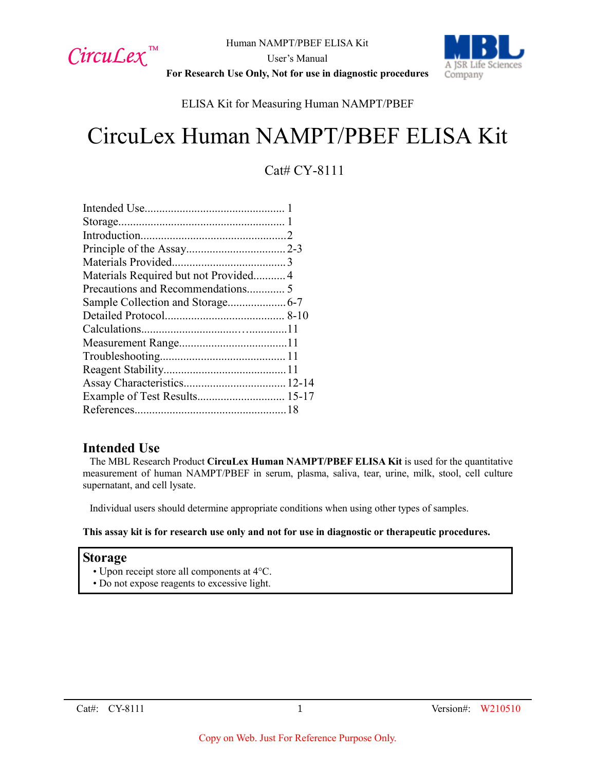

A ISR Life Sciences Company

User's Manual **For Research Use Only, Not for use in diagnostic procedures**

# ELISA Kit for Measuring Human NAMPT/PBEF

# CircuLex Human NAMPT/PBEF ELISA Kit

# Cat# CY-8111

| Materials Required but not Provided4 |  |
|--------------------------------------|--|
|                                      |  |
|                                      |  |
|                                      |  |
|                                      |  |
|                                      |  |
|                                      |  |
|                                      |  |
|                                      |  |
| Example of Test Results 15-17        |  |
|                                      |  |
|                                      |  |

# **Intended Use**

The MBL Research Product **CircuLex Human NAMPT/PBEF ELISA Kit** is used for the quantitative measurement of human NAMPT/PBEF in serum, plasma, saliva, tear, urine, milk, stool, cell culture supernatant, and cell lysate.

Individual users should determine appropriate conditions when using other types of samples.

#### **This assay kit is for research use only and not for use in diagnostic or therapeutic procedures.**

#### **Storage**

- Upon receipt store all components at 4°C.
- Do not expose reagents to excessive light.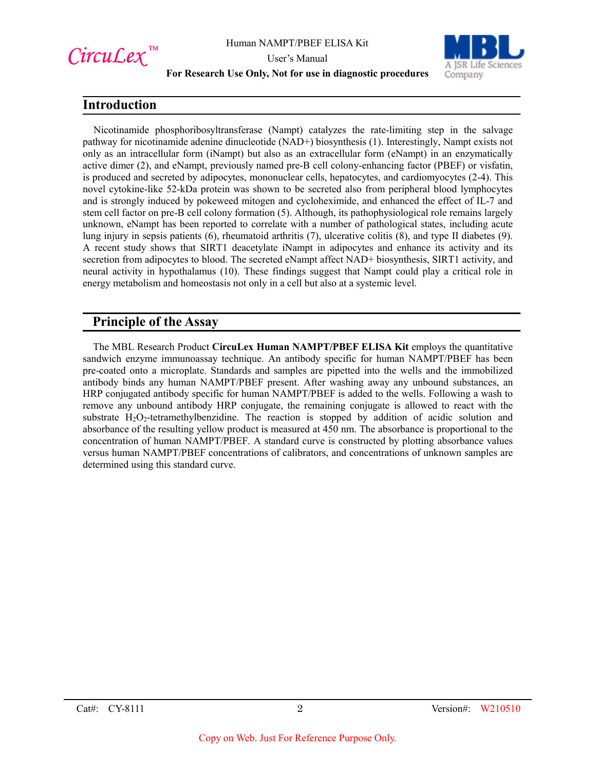

User's Manual



#### **For Research Use Only, Not for use in diagnostic procedures**

# **Introduction**

Nicotinamide phosphoribosyltransferase (Nampt) catalyzes the rate-limiting step in the salvage pathway for nicotinamide adenine dinucleotide (NAD+) biosynthesis (1). Interestingly, Nampt exists not only as an intracellular form (iNampt) but also as an extracellular form (eNampt) in an enzymatically active dimer (2), and eNampt, previously named pre-B cell colony-enhancing factor (PBEF) or visfatin, is produced and secreted by adipocytes, mononuclear cells, hepatocytes, and cardiomyocytes (2-4). This novel cytokine-like 52-kDa protein was shown to be secreted also from peripheral blood lymphocytes and is strongly induced by pokeweed mitogen and cycloheximide, and enhanced the effect of IL-7 and stem cell factor on pre-B cell colony formation (5). Although, its pathophysiological role remains largely unknown, eNampt has been reported to correlate with a number of pathological states, including acute lung injury in sepsis patients (6), rheumatoid arthritis (7), ulcerative colitis (8), and type II diabetes (9). A recent study shows that SIRT1 deacetylate iNampt in adipocytes and enhance its activity and its secretion from adipocytes to blood. The secreted eNampt affect NAD+ biosynthesis, SIRT1 activity, and neural activity in hypothalamus (10). These findings suggest that Nampt could play a critical role in energy metabolism and homeostasis not only in a cell but also at a systemic level.

# **Principle of the Assay**

The MBL Research Product **CircuLex Human NAMPT/PBEF ELISA Kit** employs the quantitative sandwich enzyme immunoassay technique. An antibody specific for human NAMPT/PBEF has been pre-coated onto a microplate. Standards and samples are pipetted into the wells and the immobilized antibody binds any human NAMPT/PBEF present. After washing away any unbound substances, an HRP conjugated antibody specific for human NAMPT/PBEF is added to the wells. Following a wash to remove any unbound antibody HRP conjugate, the remaining conjugate is allowed to react with the substrate  $H_2O_2$ -tetramethylbenzidine. The reaction is stopped by addition of acidic solution and absorbance of the resulting yellow product is measured at 450 nm. The absorbance is proportional to the concentration of human NAMPT/PBEF. A standard curve is constructed by plotting absorbance values versus human NAMPT/PBEF concentrations of calibrators, and concentrations of unknown samples are determined using this standard curve.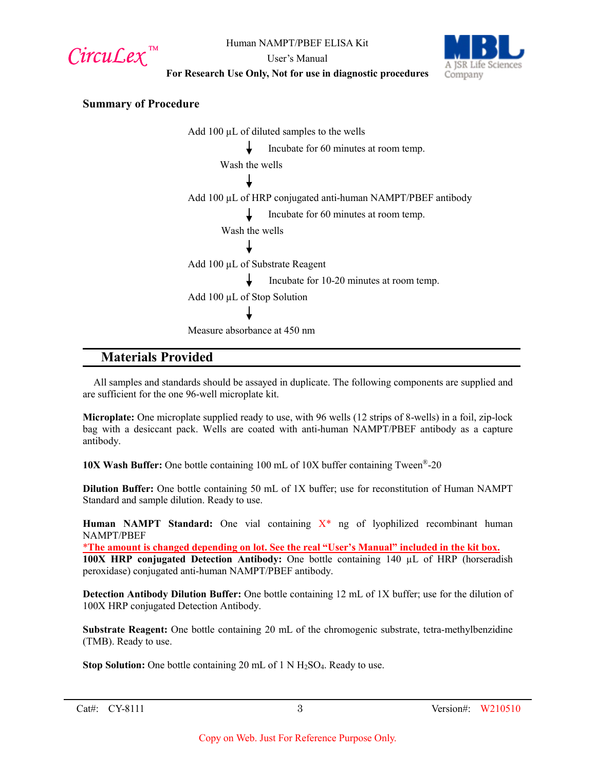CircuLex<sup>™</sup>

User's Manual



**For Research Use Only, Not for use in diagnostic procedures**

## **Summary of Procedure**

Add 100 µL of diluted samples to the wells Incubate for 60 minutes at room temp. Wash the wells Add 100 µL of HRP conjugated anti-human NAMPT/PBEF antibody Incubate for 60 minutes at room temp. Wash the wells Add 100 µL of Substrate Reagent Incubate for 10-20 minutes at room temp. Add 100 µL of Stop Solution Measure absorbance at 450 nm

# **Materials Provided**

All samples and standards should be assayed in duplicate. The following components are supplied and are sufficient for the one 96-well microplate kit.

**Microplate:** One microplate supplied ready to use, with 96 wells (12 strips of 8-wells) in a foil, zip-lock bag with a desiccant pack. Wells are coated with anti-human NAMPT/PBEF antibody as a capture antibody.

**10X Wash Buffer:** One bottle containing 100 mL of 10X buffer containing Tween®-20

**Dilution Buffer:** One bottle containing 50 mL of 1X buffer; use for reconstitution of Human NAMPT Standard and sample dilution. Ready to use.

**Human NAMPT Standard:** One vial containing X\* ng of lyophilized recombinant human NAMPT/PBEF

\***The amount is changed depending on lot. See the real "User's Manual" included in the kit box. 100X HRP conjugated Detection Antibody:** One bottle containing 140 µL of HRP (horseradish peroxidase) conjugated anti-human NAMPT/PBEF antibody.

**Detection Antibody Dilution Buffer:** One bottle containing 12 mL of 1X buffer; use for the dilution of 100X HRP conjugated Detection Antibody.

**Substrate Reagent:** One bottle containing 20 mL of the chromogenic substrate, tetra-methylbenzidine (TMB). Ready to use.

**Stop Solution:** One bottle containing 20 mL of 1 N H<sub>2</sub>SO<sub>4</sub>. Ready to use.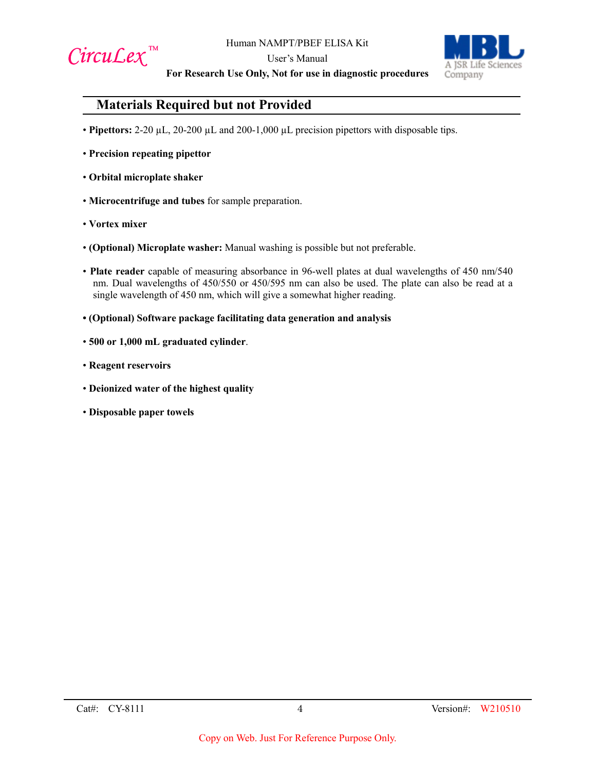

User's Manual



**For Research Use Only, Not for use in diagnostic procedures**

# **Materials Required but not Provided**

- **Pipettors:** 2-20 µL, 20-200 µL and 200-1,000 µL precision pipettors with disposable tips.
- **Precision repeating pipettor**
- **Orbital microplate shaker**
- **Microcentrifuge and tubes** for sample preparation.
- **Vortex mixer**
- **(Optional) Microplate washer:** Manual washing is possible but not preferable.
- **Plate reader** capable of measuring absorbance in 96-well plates at dual wavelengths of 450 nm/540 nm. Dual wavelengths of 450/550 or 450/595 nm can also be used. The plate can also be read at a single wavelength of 450 nm, which will give a somewhat higher reading.
- **(Optional) Software package facilitating data generation and analysis**
- **500 or 1,000 mL graduated cylinder**.
- **Reagent reservoirs**
- **Deionized water of the highest quality**
- **Disposable paper towels**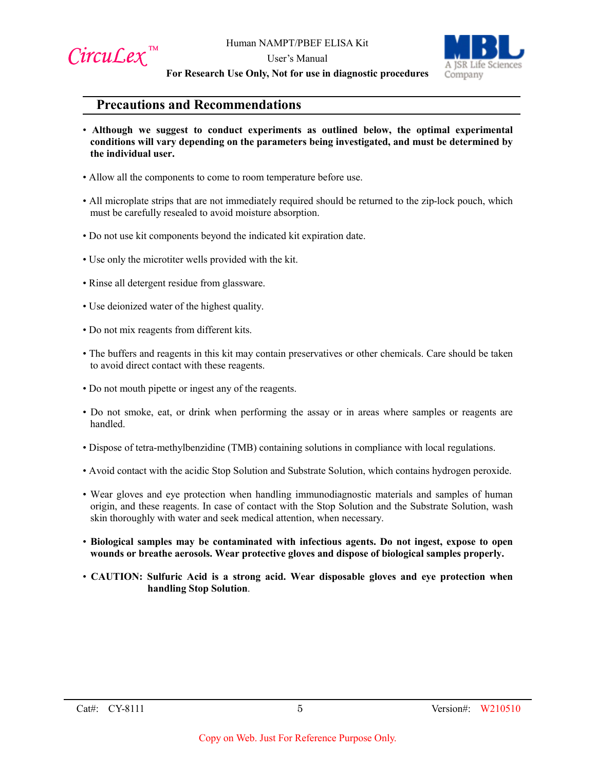

User's Manual



**For Research Use Only, Not for use in diagnostic procedures**

# **Precautions and Recommendations**

- **Although we suggest to conduct experiments as outlined below, the optimal experimental conditions will vary depending on the parameters being investigated, and must be determined by the individual user.**
- Allow all the components to come to room temperature before use.
- All microplate strips that are not immediately required should be returned to the zip-lock pouch, which must be carefully resealed to avoid moisture absorption.
- Do not use kit components beyond the indicated kit expiration date.
- Use only the microtiter wells provided with the kit.
- Rinse all detergent residue from glassware.
- Use deionized water of the highest quality.
- Do not mix reagents from different kits.
- The buffers and reagents in this kit may contain preservatives or other chemicals. Care should be taken to avoid direct contact with these reagents.
- Do not mouth pipette or ingest any of the reagents.
- Do not smoke, eat, or drink when performing the assay or in areas where samples or reagents are handled.
- Dispose of tetra-methylbenzidine (TMB) containing solutions in compliance with local regulations.
- Avoid contact with the acidic Stop Solution and Substrate Solution, which contains hydrogen peroxide.
- Wear gloves and eye protection when handling immunodiagnostic materials and samples of human origin, and these reagents. In case of contact with the Stop Solution and the Substrate Solution, wash skin thoroughly with water and seek medical attention, when necessary.
- **Biological samples may be contaminated with infectious agents. Do not ingest, expose to open wounds or breathe aerosols. Wear protective gloves and dispose of biological samples properly.**
- **CAUTION: Sulfuric Acid is a strong acid. Wear disposable gloves and eye protection when handling Stop Solution**.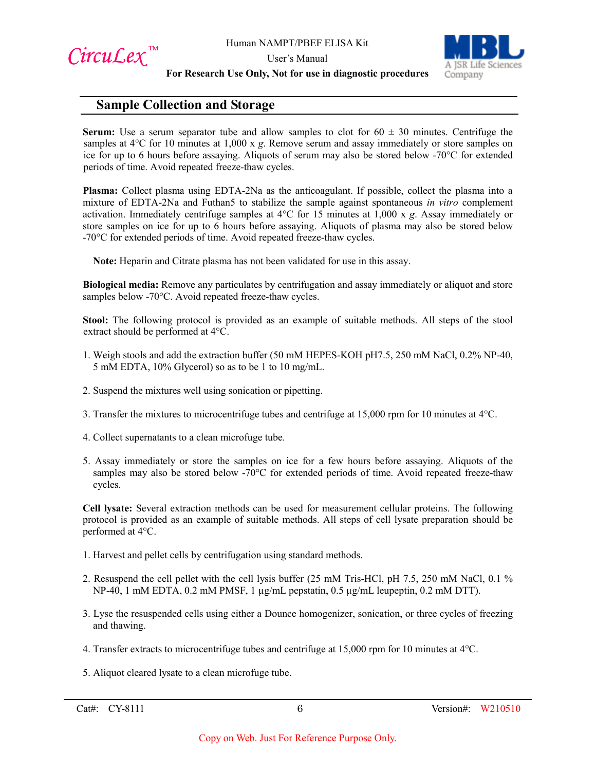CircuLex<sup>™</sup>

User's Manual



**For Research Use Only, Not for use in diagnostic procedures**

# **Sample Collection and Storage**

**Serum:** Use a serum separator tube and allow samples to clot for  $60 \pm 30$  minutes. Centrifuge the samples at 4°C for 10 minutes at 1,000 x *g*. Remove serum and assay immediately or store samples on ice for up to 6 hours before assaying. Aliquots of serum may also be stored below -70°C for extended periods of time. Avoid repeated freeze-thaw cycles.

**Plasma:** Collect plasma using EDTA-2Na as the anticoagulant. If possible, collect the plasma into a mixture of EDTA-2Na and Futhan5 to stabilize the sample against spontaneous *in vitro* complement activation. Immediately centrifuge samples at 4°C for 15 minutes at 1,000 x *g*. Assay immediately or store samples on ice for up to 6 hours before assaying. Aliquots of plasma may also be stored below -70°C for extended periods of time. Avoid repeated freeze-thaw cycles.

**Note:** Heparin and Citrate plasma has not been validated for use in this assay.

**Biological media:** Remove any particulates by centrifugation and assay immediately or aliquot and store samples below -70°C. Avoid repeated freeze-thaw cycles.

**Stool:** The following protocol is provided as an example of suitable methods. All steps of the stool extract should be performed at 4°C.

- 1. Weigh stools and add the extraction buffer (50 mM HEPES-KOH pH7.5, 250 mM NaCl, 0.2% NP-40, 5 mM EDTA, 10% Glycerol) so as to be 1 to 10 mg/mL.
- 2. Suspend the mixtures well using sonication or pipetting.
- 3. Transfer the mixtures to microcentrifuge tubes and centrifuge at 15,000 rpm for 10 minutes at 4°C.
- 4. Collect supernatants to a clean microfuge tube.
- 5. Assay immediately or store the samples on ice for a few hours before assaying. Aliquots of the samples may also be stored below -70°C for extended periods of time. Avoid repeated freeze-thaw cycles.

**Cell lysate:** Several extraction methods can be used for measurement cellular proteins. The following protocol is provided as an example of suitable methods. All steps of cell lysate preparation should be performed at 4°C.

- 1. Harvest and pellet cells by centrifugation using standard methods.
- 2. Resuspend the cell pellet with the cell lysis buffer (25 mM Tris-HCl, pH 7.5, 250 mM NaCl, 0.1 % NP-40, 1 mM EDTA, 0.2 mM PMSF, 1 µg/mL pepstatin, 0.5 µg/mL leupeptin, 0.2 mM DTT).
- 3. Lyse the resuspended cells using either a Dounce homogenizer, sonication, or three cycles of freezing and thawing.
- 4. Transfer extracts to microcentrifuge tubes and centrifuge at 15,000 rpm for 10 minutes at 4°C.
- 5. Aliquot cleared lysate to a clean microfuge tube.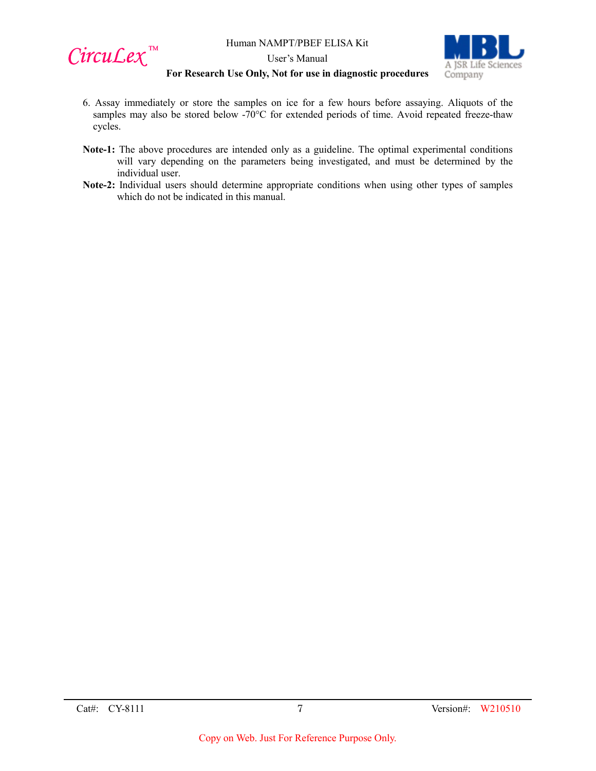

User's Manual



#### **For Research Use Only, Not for use in diagnostic procedures**

- 6. Assay immediately or store the samples on ice for a few hours before assaying. Aliquots of the samples may also be stored below -70°C for extended periods of time. Avoid repeated freeze-thaw cycles.
- **Note-1:** The above procedures are intended only as a guideline. The optimal experimental conditions will vary depending on the parameters being investigated, and must be determined by the individual user.
- **Note-2:** Individual users should determine appropriate conditions when using other types of samples which do not be indicated in this manual.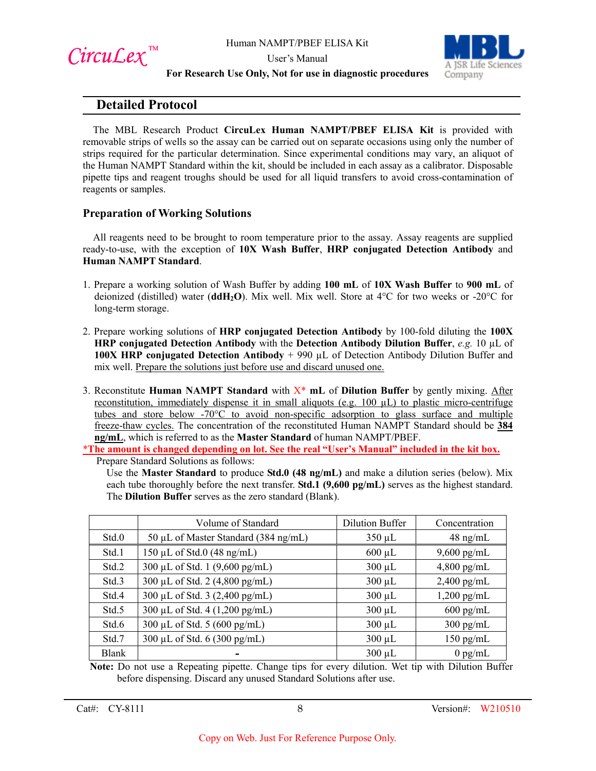

User's Manual



**For Research Use Only, Not for use in diagnostic procedures**

# **Detailed Protocol**

The MBL Research Product **CircuLex Human NAMPT/PBEF ELISA Kit** is provided with removable strips of wells so the assay can be carried out on separate occasions using only the number of strips required for the particular determination. Since experimental conditions may vary, an aliquot of the Human NAMPT Standard within the kit, should be included in each assay as a calibrator. Disposable pipette tips and reagent troughs should be used for all liquid transfers to avoid cross-contamination of reagents or samples.

## **Preparation of Working Solutions**

All reagents need to be brought to room temperature prior to the assay. Assay reagents are supplied ready-to-use, with the exception of **10X Wash Buffer**, **HRP conjugated Detection Antibody** and **Human NAMPT Standard**.

- 1. Prepare a working solution of Wash Buffer by adding **100 mL** of **10X Wash Buffer** to **900 mL** of deionized (distilled) water (**ddH2O**). Mix well. Mix well. Store at 4°C for two weeks or -20°C for long-term storage.
- 2. Prepare working solutions of **HRP conjugated Detection Antibody** by 100-fold diluting the **100X HRP conjugated Detection Antibody** with the **Detection Antibody Dilution Buffer**, *e.g.* 10 µL of **100X HRP conjugated Detection Antibody** + 990 µL of Detection Antibody Dilution Buffer and mix well. Prepare the solutions just before use and discard unused one.
- 3. Reconstitute **Human NAMPT Standard** with X\* **mL** of **Dilution Buffer** by gently mixing. After reconstitution, immediately dispense it in small aliquots (e.g. 100 µL) to plastic micro-centrifuge tubes and store below -70°C to avoid non-specific adsorption to glass surface and multiple freeze-thaw cycles. The concentration of the reconstituted Human NAMPT Standard should be **384 ng/mL**, which is referred to as the **Master Standard** of human NAMPT/PBEF.

\***The amount is changed depending on lot. See the real "User's Manual" included in the kit box.** Prepare Standard Solutions as follows:

Use the **Master Standard** to produce **Std.0 (48 ng/mL)** and make a dilution series (below). Mix each tube thoroughly before the next transfer. **Std.1 (9,600 pg/mL)** serves as the highest standard. The **Dilution Buffer** serves as the zero standard (Blank).

|              | Volume of Standard                    | Dilution Buffer | Concentration       |
|--------------|---------------------------------------|-----------------|---------------------|
| Std.0        | 50 µL of Master Standard (384 ng/mL)  | $350 \mu L$     | $48 \text{ ng/mL}$  |
| Std.1        | $150 \mu L$ of Std.0 (48 ng/mL)       | $600 \mu L$     | $9,600$ pg/mL       |
| Std.2        | 300 μL of Std. 1 (9,600 pg/mL)        | $300 \mu L$     | $4,800$ pg/mL       |
| Std.3        | 300 µL of Std. 2 (4,800 pg/mL)        | $300 \mu L$     | $2,400$ pg/mL       |
| Std.4        | 300 µL of Std. 3 (2,400 pg/mL)        | $300 \mu L$     | $1,200$ pg/mL       |
| Std.5        | 300 μL of Std. 4 (1,200 pg/mL)        | $300 \mu L$     | $600 \text{ pg/mL}$ |
| Std.6        | 300 µL of Std. 5 (600 pg/mL)          | $300 \mu L$     | $300$ pg/mL         |
| Std.7        | 300 µL of Std. $6(300 \text{ pg/mL})$ | $300 \mu L$     | $150$ pg/mL         |
| <b>Blank</b> |                                       | $300 \mu L$     | $0$ pg/mL           |

**Note:** Do not use a Repeating pipette. Change tips for every dilution. Wet tip with Dilution Buffer before dispensing. Discard any unused Standard Solutions after use.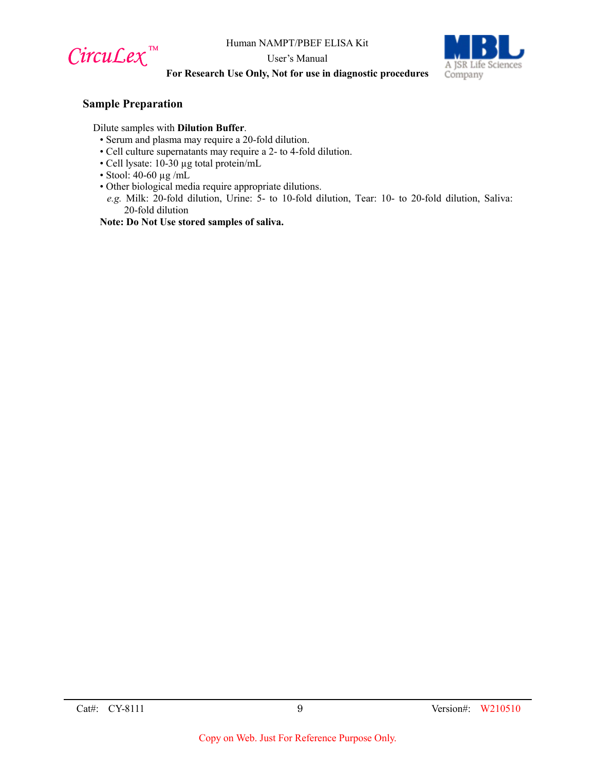

User's Manual



## **For Research Use Only, Not for use in diagnostic procedures**

#### **Sample Preparation**

Dilute samples with **Dilution Buffer**.

- Serum and plasma may require a 20-fold dilution.
- Cell culture supernatants may require a 2- to 4-fold dilution.
- Cell lysate: 10-30 µg total protein/mL
- Stool: 40-60 µg /mL
- Other biological media require appropriate dilutions.
	- *e.g.* Milk: 20-fold dilution, Urine: 5- to 10-fold dilution, Tear: 10- to 20-fold dilution, Saliva: 20-fold dilution

**Note: Do Not Use stored samples of saliva.**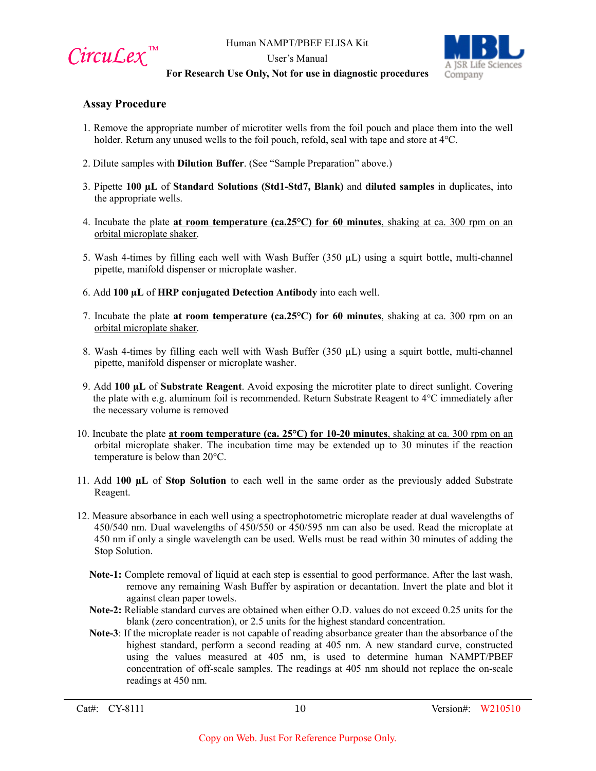

User's Manual



#### **For Research Use Only, Not for use in diagnostic procedures**

## **Assay Procedure**

- 1. Remove the appropriate number of microtiter wells from the foil pouch and place them into the well holder. Return any unused wells to the foil pouch, refold, seal with tape and store at 4°C.
- 2. Dilute samples with **Dilution Buffer**. (See "Sample Preparation" above.)
- 3. Pipette **100 µL** of **Standard Solutions (Std1-Std7, Blank)** and **diluted samples** in duplicates, into the appropriate wells.
- 4. Incubate the plate **at room temperature (ca.25°C) for 60 minutes**, shaking at ca. 300 rpm on an orbital microplate shaker.
- 5. Wash 4-times by filling each well with Wash Buffer  $(350 \mu L)$  using a squirt bottle, multi-channel pipette, manifold dispenser or microplate washer.
- 6. Add **100 µL** of **HRP conjugated Detection Antibody** into each well.
- 7. Incubate the plate **at room temperature (ca.25°C) for 60 minutes**, shaking at ca. 300 rpm on an orbital microplate shaker.
- 8. Wash 4-times by filling each well with Wash Buffer  $(350 \mu L)$  using a squirt bottle, multi-channel pipette, manifold dispenser or microplate washer.
- 9. Add **100 µL** of **Substrate Reagent**. Avoid exposing the microtiter plate to direct sunlight. Covering the plate with e.g. aluminum foil is recommended. Return Substrate Reagent to  $4^{\circ}C$  immediately after the necessary volume is removed
- 10. Incubate the plate **at room temperature (ca. 25°C) for 10-20 minutes**, shaking at ca. 300 rpm on an orbital microplate shaker. The incubation time may be extended up to 30 minutes if the reaction temperature is below than 20°C.
- 11. Add **100 µL** of **Stop Solution** to each well in the same order as the previously added Substrate Reagent.
- 12. Measure absorbance in each well using a spectrophotometric microplate reader at dual wavelengths of 450/540 nm. Dual wavelengths of 450/550 or 450/595 nm can also be used. Read the microplate at 450 nm if only a single wavelength can be used. Wells must be read within 30 minutes of adding the Stop Solution.
	- **Note-1:** Complete removal of liquid at each step is essential to good performance. After the last wash, remove any remaining Wash Buffer by aspiration or decantation. Invert the plate and blot it against clean paper towels.
	- **Note-2:** Reliable standard curves are obtained when either O.D. values do not exceed 0.25 units for the blank (zero concentration), or 2.5 units for the highest standard concentration.
	- **Note-3**: If the microplate reader is not capable of reading absorbance greater than the absorbance of the highest standard, perform a second reading at 405 nm. A new standard curve, constructed using the values measured at 405 nm, is used to determine human NAMPT/PBEF concentration of off-scale samples. The readings at 405 nm should not replace the on-scale readings at 450 nm.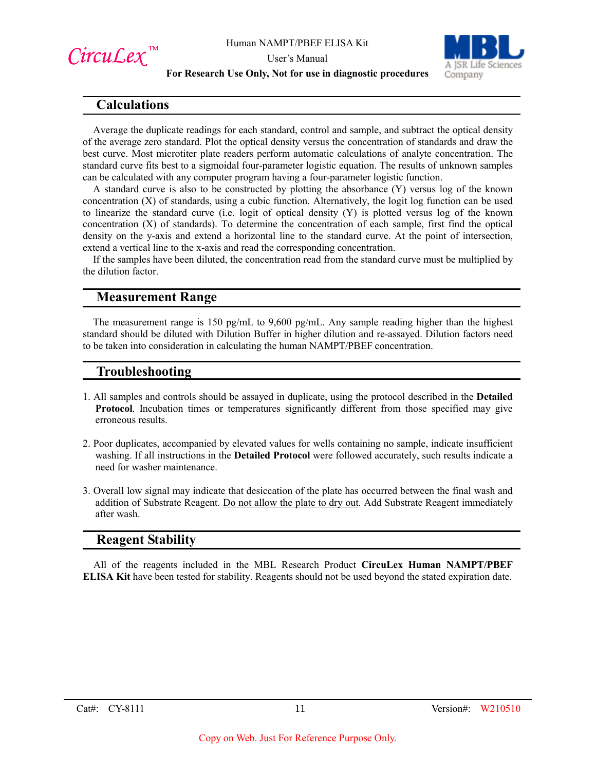

User's Manual



#### **For Research Use Only, Not for use in diagnostic procedures**

# **Calculations**

Average the duplicate readings for each standard, control and sample, and subtract the optical density of the average zero standard. Plot the optical density versus the concentration of standards and draw the best curve. Most microtiter plate readers perform automatic calculations of analyte concentration. The standard curve fits best to a sigmoidal four-parameter logistic equation. The results of unknown samples can be calculated with any computer program having a four-parameter logistic function.

A standard curve is also to be constructed by plotting the absorbance (Y) versus log of the known concentration (X) of standards, using a cubic function. Alternatively, the logit log function can be used to linearize the standard curve (i.e. logit of optical density (Y) is plotted versus log of the known concentration (X) of standards). To determine the concentration of each sample, first find the optical density on the y-axis and extend a horizontal line to the standard curve. At the point of intersection, extend a vertical line to the x-axis and read the corresponding concentration.

If the samples have been diluted, the concentration read from the standard curve must be multiplied by the dilution factor.

# **Measurement Range**

The measurement range is 150 pg/mL to 9,600 pg/mL. Any sample reading higher than the highest standard should be diluted with Dilution Buffer in higher dilution and re-assayed. Dilution factors need to be taken into consideration in calculating the human NAMPT/PBEF concentration.

## **Troubleshooting**

- 1. All samples and controls should be assayed in duplicate, using the protocol described in the **Detailed Protocol**. Incubation times or temperatures significantly different from those specified may give erroneous results.
- 2. Poor duplicates, accompanied by elevated values for wells containing no sample, indicate insufficient washing. If all instructions in the **Detailed Protocol** were followed accurately, such results indicate a need for washer maintenance.
- 3. Overall low signal may indicate that desiccation of the plate has occurred between the final wash and addition of Substrate Reagent. Do not allow the plate to dry out. Add Substrate Reagent immediately after wash.

## **Reagent Stability**

All of the reagents included in the MBL Research Product **CircuLex Human NAMPT/PBEF ELISA Kit** have been tested for stability. Reagents should not be used beyond the stated expiration date.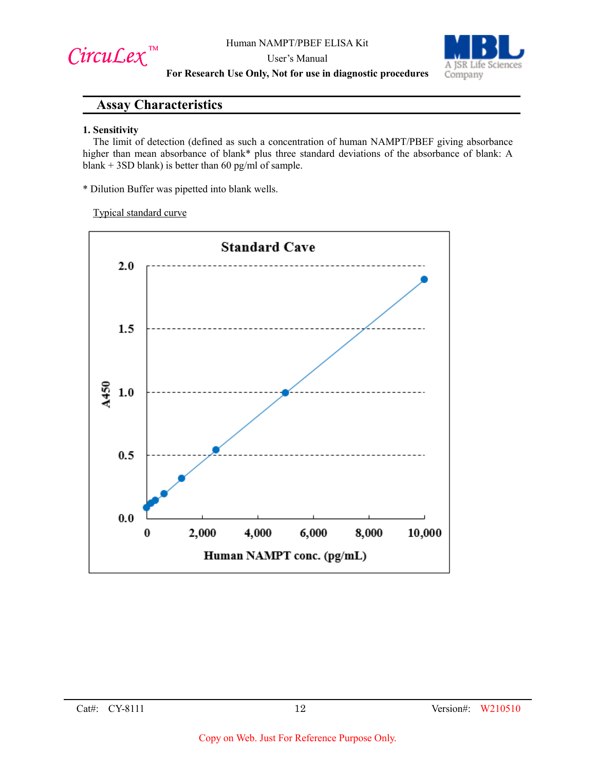CircuLex<sup>™</sup>

User's Manual



**For Research Use Only, Not for use in diagnostic procedures**

# **Assay Characteristics**

#### **1. Sensitivity**

The limit of detection (defined as such a concentration of human NAMPT/PBEF giving absorbance higher than mean absorbance of blank\* plus three standard deviations of the absorbance of blank: A blank + 3SD blank) is better than 60 pg/ml of sample.

\* Dilution Buffer was pipetted into blank wells.

Typical standard curve

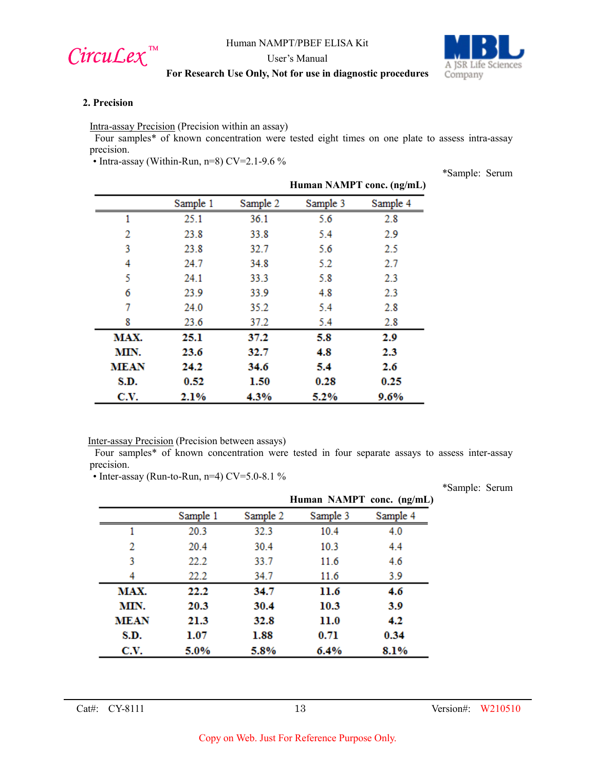

User's Manual



\*Sample: Serum

#### **For Research Use Only, Not for use in diagnostic procedures**

#### **2. Precision**

Intra-assay Precision (Precision within an assay)

Four samples\* of known concentration were tested eight times on one plate to assess intra-assay precision.

• Intra-assay (Within-Run, n=8) CV=2.1-9.6 %

**Human NAMPT conc. (ng/mL)** Sample 1 Sample 2 Sample 3 Sample 4 25.1  $\mathbf{1}$ 36.1 5.6  $2.8$ 2 23.8 33.8 5.4 2.9 3 23.8 32.7 5.6 2.5 4 24.7 34.8 5.2 2.7 5 24.1 33.3 5.8 2.3 2.3 6 23.9 33.9 4.8 7 24.0 35.2 5.4  $2.8$ 8 23.6 37.2 5.4  $2.8$ 37.2  $2.9$ MAX. 25.1 5.8 MIN. 23.6 32.7 4.8 2.3 **MEAN** 24.2 34.6 5.4 2.6 S.D. 0.52 1.50 0.25  $0.28$ C.V. 2.1% 4.3% 5.2%  $9.6%$ 

Inter-assay Precision (Precision between assays)

Four samples\* of known concentration were tested in four separate assays to assess inter-assay precision.

• Inter-assay (Run-to-Run, n=4) CV=5.0-8.1 %

\*Sample: Serum **Human NAMPT conc. (ng/mL)**Sample 2 Sample 3 Sample 4 Sample 1  $\mathbf{1}$ 10.4 4.0 20.3 32.3  $\overline{2}$ 20.4 30.4  $10.3$ 4.4 22.2 3 33.7 11.6 4.6 4 22.2 34.7 11.6  $3.9$ MAX. 22.2 34.7 11.6 4.6 MIN. 30.4 10.3 3.9 20.3 **MEAN** 21.3 32.8 11.0  $4.2$ S.D.  $1.07$ 1.88  $0.71$ 0.34 C.V. 5.0% 5.8%  $6.4%$ 8.1%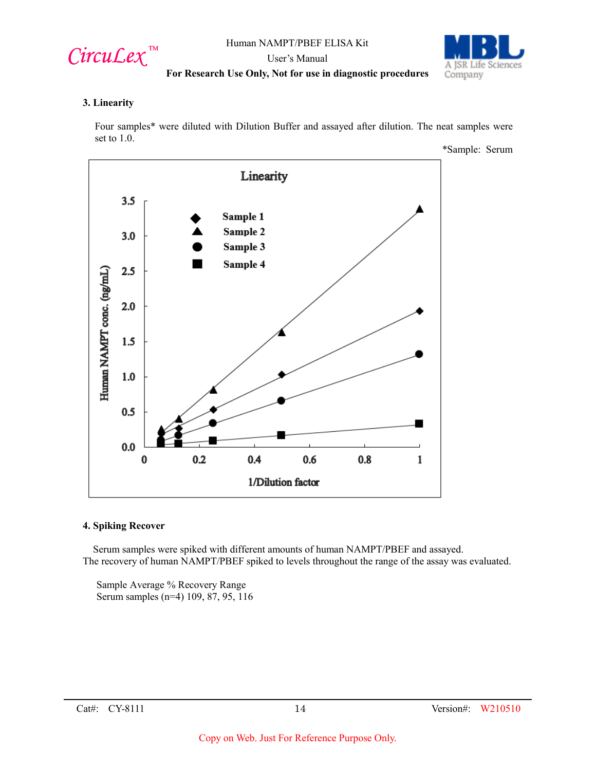

User's Manual



#### **For Research Use Only, Not for use in diagnostic procedures**

#### **3. Linearity**

Four samples\* were diluted with Dilution Buffer and assayed after dilution. The neat samples were set to 1.0.



#### **4. Spiking Recover**

Serum samples were spiked with different amounts of human NAMPT/PBEF and assayed. The recovery of human NAMPT/PBEF spiked to levels throughout the range of the assay was evaluated.

Sample Average % Recovery Range Serum samples (n=4) 109, 87, 95, 116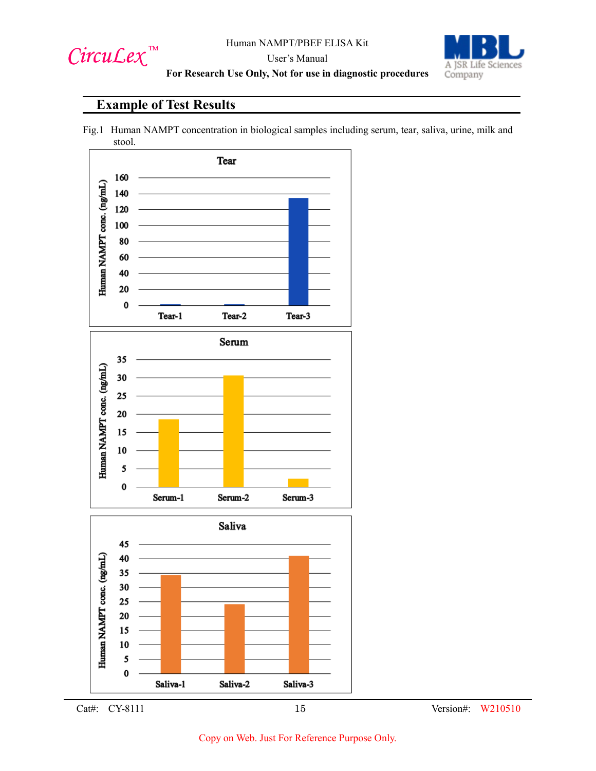

A JSR Life Sciences Company

## User's Manual **For Research Use Only, Not for use in diagnostic procedures**

# **Example of Test Results**







Cat#: CY-8111 15 Version#: W210510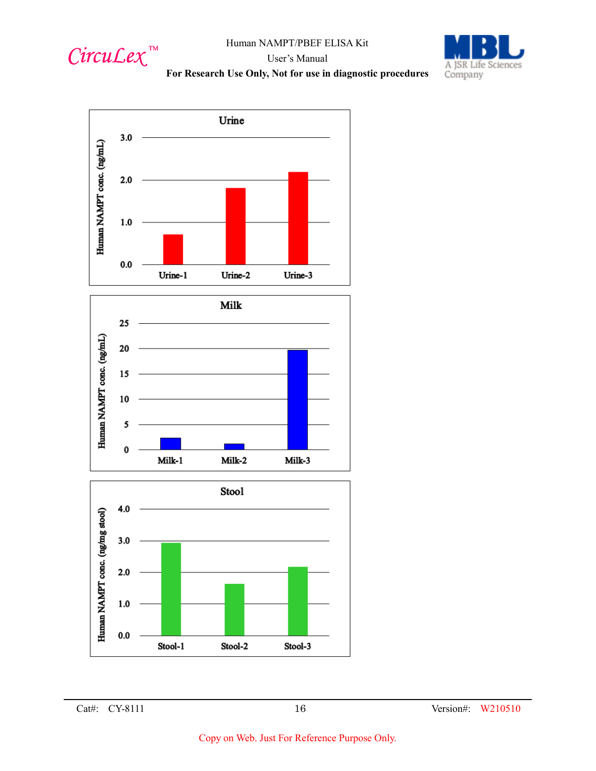



# User's Manual







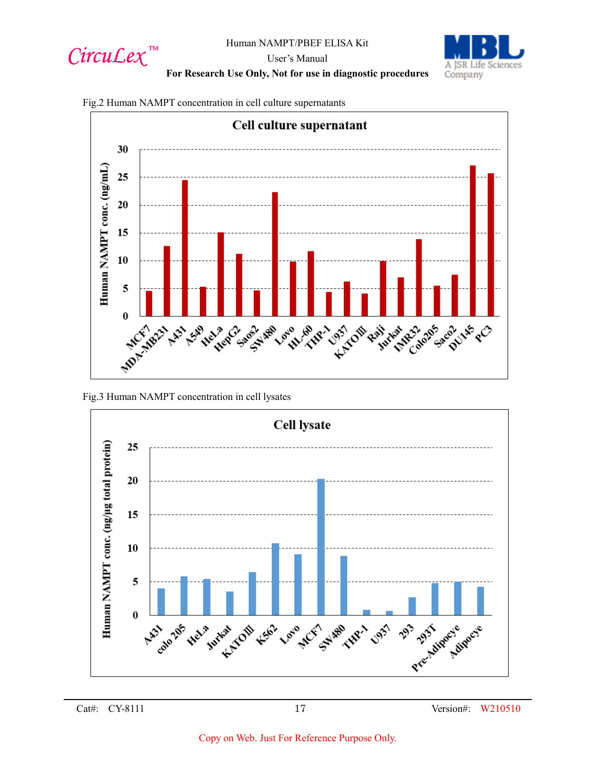



User's Manual

**For Research Use Only, Not for use in diagnostic procedures**





Fig.3 Human NAMPT concentration in cell lysates